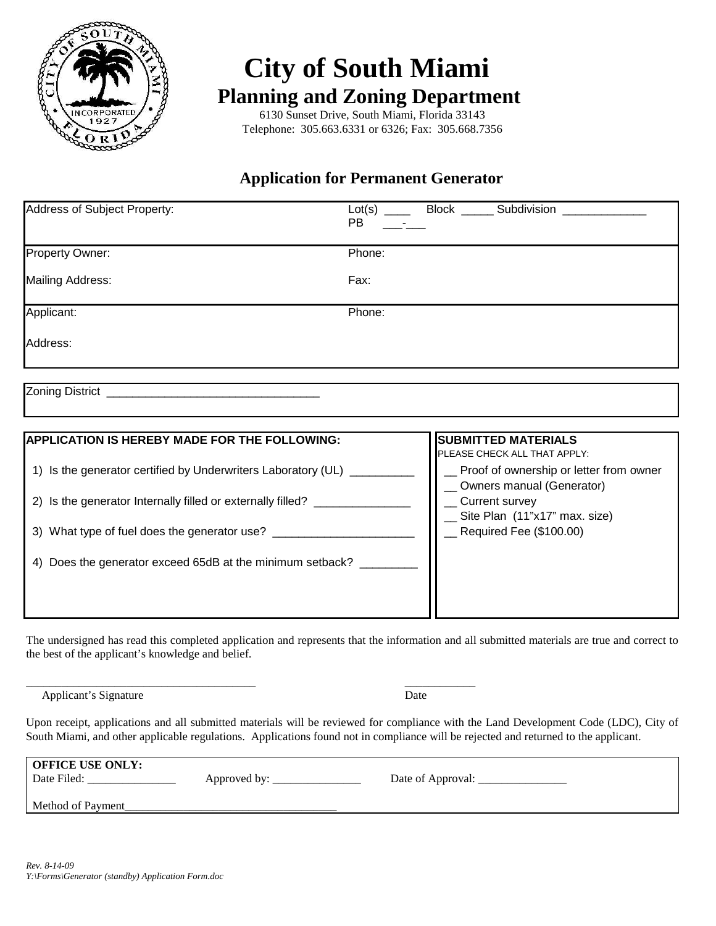

# **City of South Miami Planning and Zoning Department**

 6130 Sunset Drive, South Miami, Florida 33143 Telephone: 305.663.6331 or 6326; Fax: 305.668.7356

## **Application for Permanent Generator**

| Address of Subject Property:                                                                                                                    | <b>PB</b> | Lot(s) ______ Block _______ Subdivision ______________                                                                 |  |
|-------------------------------------------------------------------------------------------------------------------------------------------------|-----------|------------------------------------------------------------------------------------------------------------------------|--|
| Property Owner:                                                                                                                                 | Phone:    |                                                                                                                        |  |
| <b>Mailing Address:</b>                                                                                                                         | Fax:      |                                                                                                                        |  |
| Applicant:                                                                                                                                      | Phone:    |                                                                                                                        |  |
| Address:                                                                                                                                        |           |                                                                                                                        |  |
| <b>APPLICATION IS HEREBY MADE FOR THE FOLLOWING:</b>                                                                                            |           | <b>SUBMITTED MATERIALS</b>                                                                                             |  |
| 1) Is the generator certified by Underwriters Laboratory (UL) ____<br>2) Is the generator Internally filled or externally filled? _____________ |           | PLEASE CHECK ALL THAT APPLY:<br>Proof of ownership or letter from owner<br>Owners manual (Generator)<br>Current survey |  |
| 3) What type of fuel does the generator use? _______________                                                                                    |           | Site Plan (11"x17" max. size)<br>$\_$ Required Fee (\$100.00)                                                          |  |
| Does the generator exceed 65dB at the minimum setback? _______<br>4)                                                                            |           |                                                                                                                        |  |

The undersigned has read this completed application and represents that the information and all submitted materials are true and correct to the best of the applicant's knowledge and belief.

\_\_\_\_\_\_\_\_\_\_\_\_\_\_\_\_\_\_\_\_\_\_\_\_\_\_\_\_\_\_\_\_\_\_\_\_\_\_\_ \_\_\_\_\_\_\_\_\_\_\_\_

Applicant's Signature Date

Upon receipt, applications and all submitted materials will be reviewed for compliance with the Land Development Code (LDC), City of South Miami, and other applicable regulations. Applications found not in compliance will be rejected and returned to the applicant.

| <b>OFFICE USE ONLY:</b><br>Date Filed: | Approved by: | Date of Approval: |
|----------------------------------------|--------------|-------------------|
| Method of Payment                      |              |                   |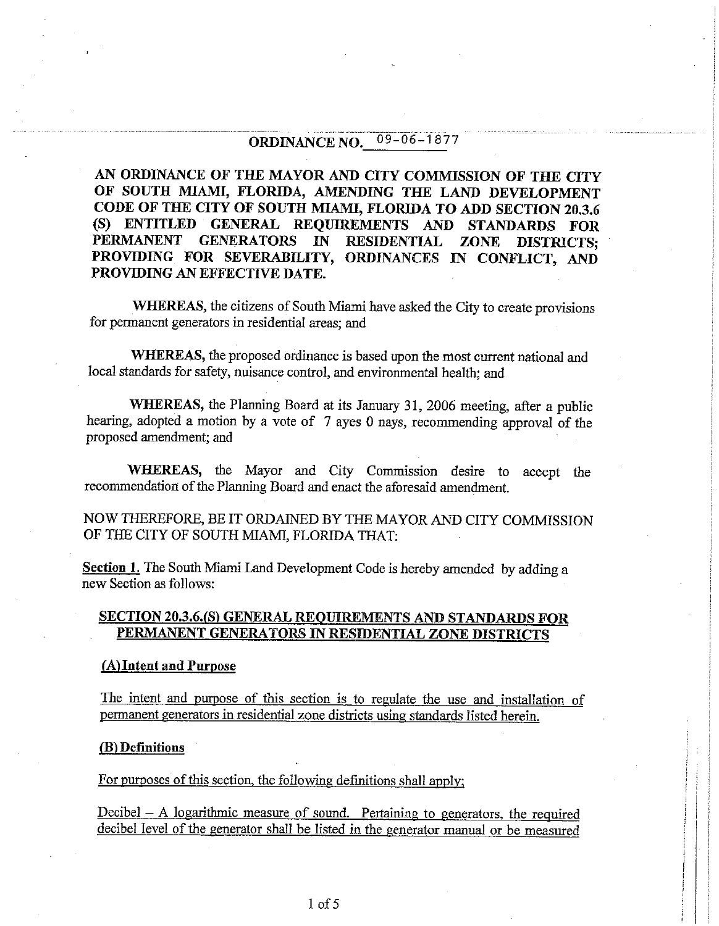#### $09 - 06 - 1877$ **ORDINANCE NO.**

AN ORDINANCE OF THE MAYOR AND CITY COMMISSION OF THE CITY OF SOUTH MIAMI, FLORIDA, AMENDING THE LAND DEVELOPMENT CODE OF THE CITY OF SOUTH MIAMI, FLORIDA TO ADD SECTION 20.3.6 (S) ENTITLED GENERAL REQUIREMENTS AND STANDARDS FOR PERMANENT GENERATORS IN RESIDENTIAL **ZONE DISTRICTS:** PROVIDING FOR SEVERABILITY, ORDINANCES IN CONFLICT, AND PROVIDING AN EFFECTIVE DATE.

**WHEREAS**, the citizens of South Miami have asked the City to create provisions for permanent generators in residential areas; and

WHEREAS, the proposed ordinance is based upon the most current national and local standards for safety, nuisance control, and environmental health; and

WHEREAS, the Planning Board at its January 31, 2006 meeting, after a public hearing, adopted a motion by a vote of 7 ayes 0 nays, recommending approval of the proposed amendment; and

**WHEREAS**, the Mayor and City Commission desire to accept the recommendation of the Planning Board and enact the aforesaid amendment.

NOW THEREFORE, BE IT ORDAINED BY THE MAYOR AND CITY COMMISSION OF THE CITY OF SOUTH MIAMI, FLORIDA THAT:

Section 1. The South Miami Land Development Code is hereby amended by adding a new Section as follows:

## <u>SECTION 20.3.6.(S) GENERAL REQUIREMENTS AND STANDARDS FOR</u> PERMANENT GENERATORS IN RESIDENTIAL ZONE DISTRICTS

#### (A) Intent and Purpose

The intent and purpose of this section is to regulate the use and installation of permanent generators in residential zone districts using standards listed herein.

#### (B) Definitions

For purposes of this section, the following definitions shall apply:

Decibel – A logarithmic measure of sound. Pertaining to generators, the required decibel level of the generator shall be listed in the generator manual or be measured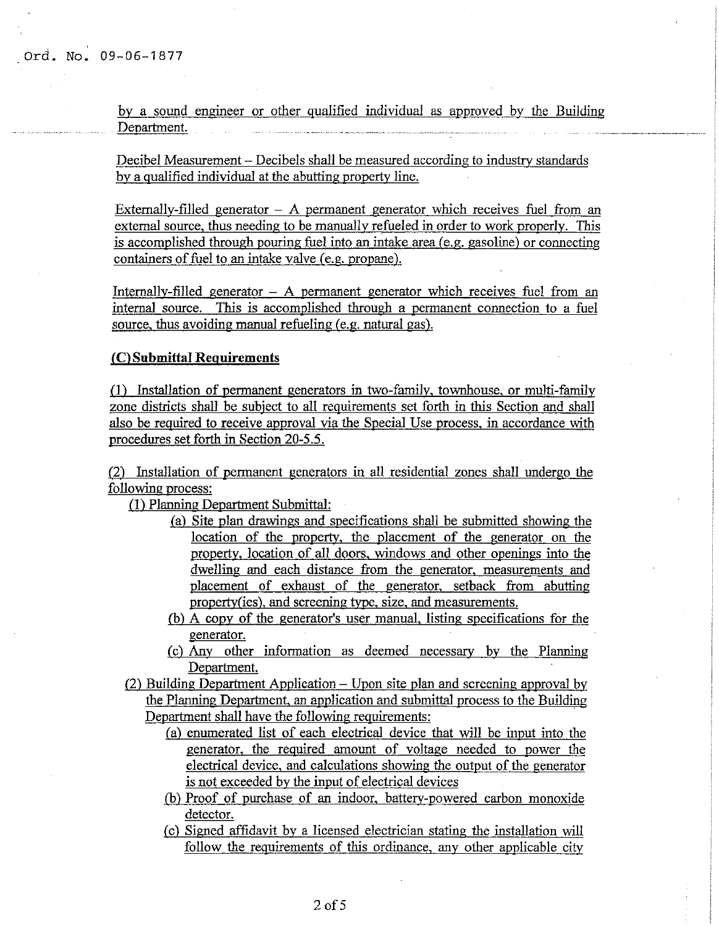by a sound engineer or other qualified individual as approved by the Building Department.

Decibel Measurement – Decibels shall be measured according to industry standards by a qualified individual at the abutting property line.

Externally-filled generator  $-$  A permanent generator which receives fuel from an external source, thus needing to be manually refueled in order to work properly. This is accomplished through pouring fuel into an intake area (e.g. gasoline) or connecting containers of fuel to an intake valve (e.g. propane).

Internally-filled generator  $-$  A permanent generator which receives fuel from an internal source. This is accomplished through a permanent connection to a fuel source, thus avoiding manual refueling (e.g. natural gas).

#### (C) Submittal Requirements

(1) Installation of permanent generators in two-family, townhouse, or multi-family zone districts shall be subject to all requirements set forth in this Section and shall also be required to receive approval via the Special Use process, in accordance with procedures set forth in Section 20-5.5.

(2) Installation of permanent generators in all residential zones shall undergo the following process:

(1) Planning Department Submittal:

- (a) Site plan drawings and specifications shall be submitted showing the location of the property, the placement of the generator on the property, location of all doors, windows and other openings into the dwelling and each distance from the generator, measurements and placement of exhaust of the generator, setback from abutting property(ies), and screening type, size, and measurements.
- (b) A copy of the generator's user manual, listing specifications for the generator.
- (c) Any other information as deemed necessary by the Planning Department.
- (2) Building Department Application Upon site plan and screening approval by the Planning Department, an application and submittal process to the Building Department shall have the following requirements:
	- (a) enumerated list of each electrical device that will be input into the generator, the required amount of voltage needed to power the electrical device, and calculations showing the output of the generator is not exceeded by the input of electrical devices
	- (b) Proof of purchase of an indoor, battery-powered carbon monoxide detector.
	- (c) Signed affidavit by a licensed electrician stating the installation will follow the requirements of this ordinance, any other applicable city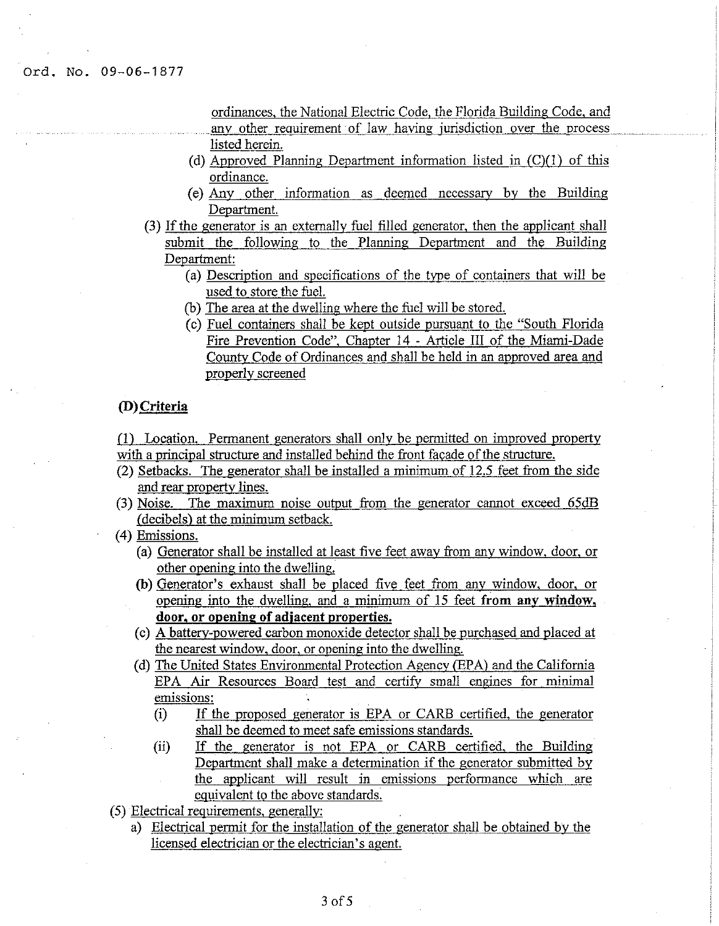Ord. No. 09-06-1877

ordinances, the National Electric Code, the Florida Building Code, and any other requirement of law having jurisdiction over the process listed herein.

- (d) Approved Planning Department information listed in  $(C)(1)$  of this ordinance.
- (e) Any other information as deemed necessary by the Building Department.
- (3) If the generator is an externally fuel filled generator, then the applicant shall submit the following to the Planning Department and the Building Department:
	- (a) Description and specifications of the type of containers that will be used to store the fuel.
	- (b) The area at the dwelling where the fuel will be stored.
	- (c) Fuel containers shall be kept outside pursuant to the "South Florida" Fire Prevention Code", Chapter 14 - Article III of the Miami-Dade County Code of Ordinances and shall be held in an approved area and properly screened

## (D) Criteria

(1) Location. Permanent generators shall only be permitted on improved property with a principal structure and installed behind the front facade of the structure.

- (2) Setbacks. The generator shall be installed a minimum of 12.5 feet from the side and rear property lines.
- (3) Noise. The maximum noise output from the generator cannot exceed 65dB (decibels) at the minimum setback.
- (4) Emissions.
	- (a) Generator shall be installed at least five feet away from any window, door, or other opening into the dwelling.
	- (b) Generator's exhaust shall be placed five feet from any window, door, or opening into the dwelling, and a minimum of 15 feet from any window, door, or opening of adiacent properties.
	- (c) A battery-powered carbon monoxide detector shall be purchased and placed at the nearest window, door, or opening into the dwelling.
	- (d) The United States Environmental Protection Agency (EPA) and the California EPA Air Resources Board test and certify small engines for minimal emissions:
		- If the proposed generator is EPA or CARB certified, the generator  $(i)$ shall be deemed to meet safe emissions standards.
		- $(ii)$ If the generator is not EPA or CARB certified, the Building Department shall make a determination if the generator submitted by the applicant will result in emissions performance which are equivalent to the above standards.
- (5) Electrical requirements, generally:
	- a) Electrical permit for the installation of the generator shall be obtained by the licensed electrician or the electrician's agent.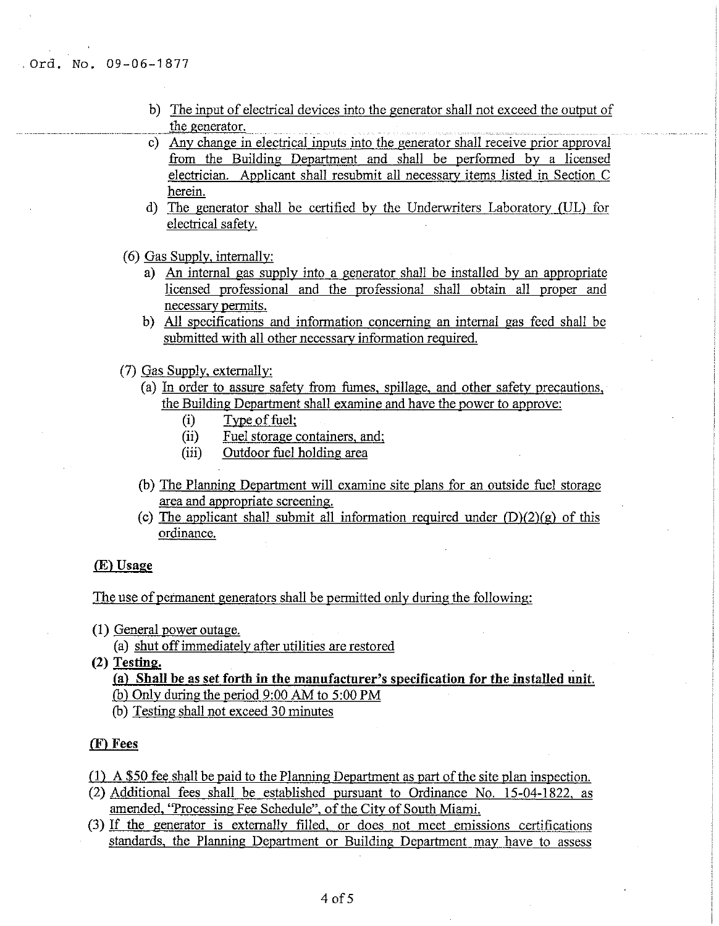- b) The input of electrical devices into the generator shall not exceed the output of the generator.
- c) Any change in electrical inputs into the generator shall receive prior approval from the Building Department and shall be performed by a licensed electrician. Applicant shall resubmit all necessary items listed in Section C herein.
- d) The generator shall be certified by the Underwriters Laboratory (UL) for electrical safety.
- (6) Gas Supply, internally:
	- a) An internal gas supply into a generator shall be installed by an appropriate licensed professional and the professional shall obtain all proper and necessary permits.
	- b) All specifications and information concerning an internal gas feed shall be submitted with all other necessary information required.
- (7) Gas Supply, externally:
	- (a) In order to assure safety from fumes, spillage, and other safety precautions, the Building Department shall examine and have the power to approve:
		- $(i)$ Type of fuel:
		- (ii) Fuel storage containers, and;
		- $(iii)$ Outdoor fuel holding area
	- (b) The Planning Department will examine site plans for an outside fuel storage area and appropriate screening.
	- (c) The applicant shall submit all information required under  $(D)(2)(g)$  of this ordinance.

#### (E) Usage

#### The use of permanent generators shall be permitted only during the following:

(1) General power outage.

(a) shut off immediately after utilities are restored

(2) Testing.

(a) Shall be as set forth in the manufacturer's specification for the installed unit.

- (b) Only during the period  $9:00$  AM to  $5:00$  PM
- (b) Testing shall not exceed 30 minutes

#### (F) Fees

- (1) A \$50 fee shall be paid to the Planning Department as part of the site plan inspection.
- (2) Additional fees shall be established pursuant to Ordinance No. 15-04-1822, as amended, "Processing Fee Schedule", of the City of South Miami.
- (3) If the generator is externally filled, or does not meet emissions certifications standards, the Planning Department or Building Department may have to assess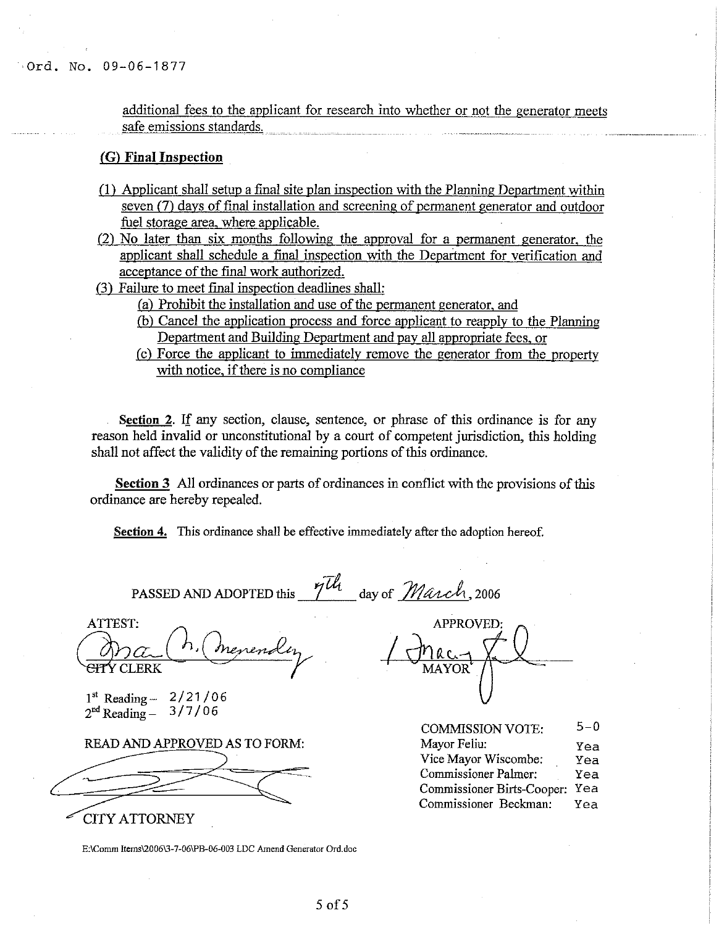Ord. No. 09-06-1877

additional fees to the applicant for research into whether or not the generator meets safe emissions standards.

#### (G) Final Inspection

- (1) Applicant shall setup a final site plan inspection with the Planning Department within seven (7) days of final installation and screening of permanent generator and outdoor fuel storage area, where applicable.
- (2) No later than six months following the approval for a permanent generator, the applicant shall schedule a final inspection with the Department for verification and acceptance of the final work authorized.
- (3) Failure to meet final inspection deadlines shall:
	- (a) Prohibit the installation and use of the permanent generator, and
	- (b) Cancel the application process and force applicant to reapply to the Planning Department and Building Department and pay all appropriate fees, or
	- (c) Force the applicant to immediately remove the generator from the property with notice, if there is no compliance

Section 2. If any section, clause, sentence, or phrase of this ordinance is for any reason held invalid or unconstitutional by a court of competent jurisdiction, this holding shall not affect the validity of the remaining portions of this ordinance.

**Section 3** All ordinances or parts of ordinances in conflict with the provisions of this ordinance are hereby repealed.

**Section 4.** This ordinance shall be effective immediately after the adoption hereof.

PASSED AND ADOPTED this 7th day of March, 2006

ATTEST: Y CLERK

 $1<sup>st</sup>$  Reading  $-2/21/06$  $2<sup>nd</sup>$  Reading -  $3/7/06$ 

READ AND APPROVED AS TO FORM:

**CITY ATTORNEY** 

APPROVED:

| <b>COMMISSION VOTE:</b>     | $5 - 0$ |
|-----------------------------|---------|
| Mayor Feliu:                | Yea     |
| Vice Mayor Wiscombe:        | Yea     |
| <b>Commissioner Palmer:</b> | Yea     |
| Commissioner Birts-Cooper:  | Yea     |
| Commissioner Beckman:       | Yea     |

E:\Comm Items\2006\3-7-06\PB-06-003 LDC Amend Generator Ord.doc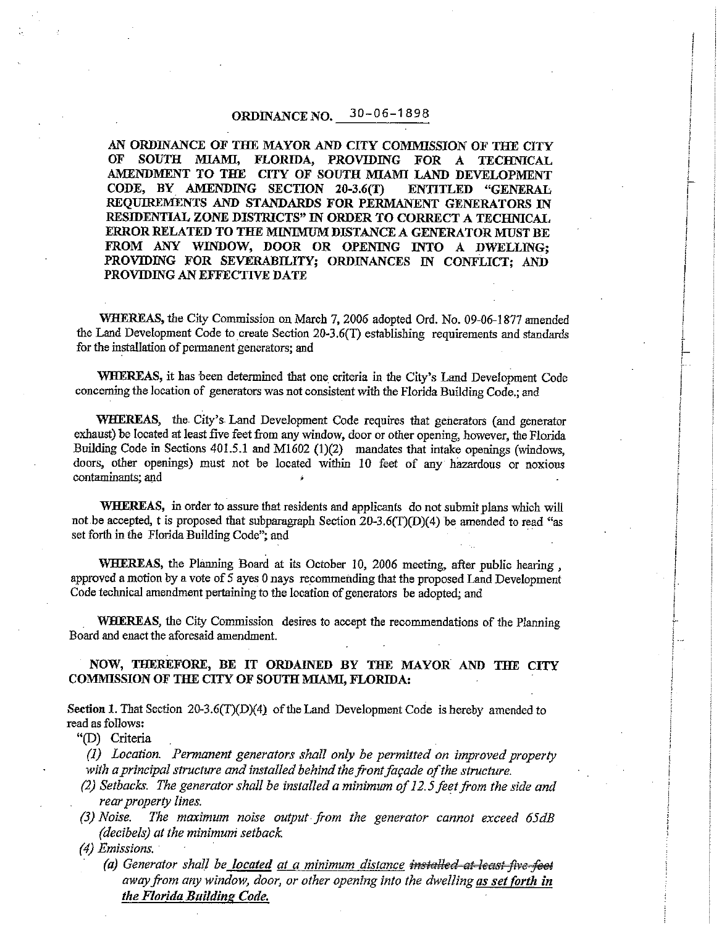#### $30 - 06 - 1898$ ORDINANCE NO.

AN ORDINANCE OF THE MAYOR AND CITY COMMISSION OF THE CITY  $O<sub>F</sub>$ SOUTH MIAMI, FLORIDA, PROVIDING FOR A TECHNICAL AMENDMENT TO THE CITY OF SOUTH MIAMI LAND DEVELOPMENT CODE, BY AMENDING SECTION 20-3.6(T) ENTITLED "GENERAL REQUIREMENTS AND STANDARDS FOR PERMANENT GENERATORS IN RESIDENTIAL ZONE DISTRICTS" IN ORDER TO CORRECT A TECHNICAL ERROR RELATED TO THE MINIMUM DISTANCE A GENERATOR MUST BE FROM ANY WINDOW, DOOR OR OPENING INTO A DWELLING; PROVIDING FOR SEVERABILITY; ORDINANCES IN CONFLICT; AND PROVIDING AN EFFECTIVE DATE

WHEREAS, the City Commission on March 7, 2006 adopted Ord. No. 09-06-1877 amended the Land Development Code to create Section 20-3.6(T) establishing requirements and standards for the installation of permanent generators; and

WHEREAS, it has been determined that one criteria in the City's Land Development Code concerning the location of generators was not consistent with the Florida Building Code.: and

WHEREAS, the City's Land Development Code requires that generators (and generator exhaust) be located at least five feet from any window, door or other opening, however, the Florida Building Code in Sections 401.5.1 and M1602 (1)(2) mandates that intake openings (windows, doors, other openings) must not be located within 10 feet of any hazardous or noxious contaminants; and

**WHEREAS**, in order to assure that residents and applicants do not submit plans which will not be accepted, t is proposed that subparagraph Section 20-3.6(T)(D)(4) be amended to read "as set forth in the Florida Building Code"; and

WHEREAS, the Planning Board at its October 10, 2006 meeting, after public hearing. approved a motion by a vote of 5 ayes 0 nays recommending that the proposed Land Development Code technical amendment pertaining to the location of generators be adopted; and

WHEREAS, the City Commission desires to accept the recommendations of the Planning Board and enact the aforesaid amendment.

#### NOW, THEREFORE, BE IT ORDAINED BY THE MAYOR AND THE CITY COMMISSION OF THE CITY OF SOUTH MIAMI, FLORIDA:

Section 1. That Section 20-3.6(T)(D)(4) of the Land Development Code is hereby amended to read as follows:

"(D) Criteria

(1) Location. Permanent generators shall only be permitted on improved property with a principal structure and installed behind the front façade of the structure.

- (2) Setbacks. The generator shall be installed a minimum of 12.5 feet from the side and rear property lines.
- $(3)$  Noise. The maximum noise output from the generator cannot exceed 65dB (decibels) at the minimum setback.
- (4) Emissions.
	- (a) Generator shall be located at a minimum distance installed at least five feet away from any window, door, or other opening into the dwelling as set forth in the Florida Building Code.